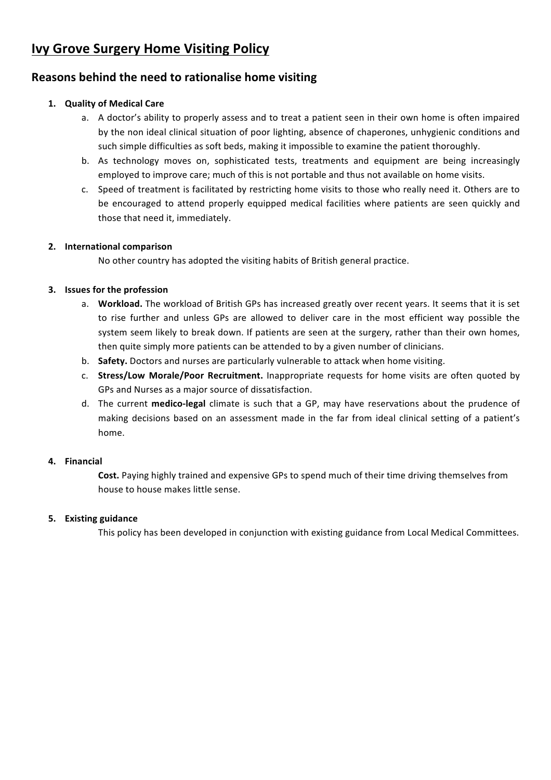# **Ivy Grove Surgery Home Visiting Policy**

## **Reasons behind the need to rationalise home visiting**

#### **1. Quality of Medical Care**

- a. A doctor's ability to properly assess and to treat a patient seen in their own home is often impaired by the non ideal clinical situation of poor lighting, absence of chaperones, unhygienic conditions and such simple difficulties as soft beds, making it impossible to examine the patient thoroughly.
- b. As technology moves on, sophisticated tests, treatments and equipment are being increasingly employed to improve care; much of this is not portable and thus not available on home visits.
- c. Speed of treatment is facilitated by restricting home visits to those who really need it. Others are to be encouraged to attend properly equipped medical facilities where patients are seen quickly and those that need it, immediately.

#### **2. International comparison**

No other country has adopted the visiting habits of British general practice.

#### **3. Issues for the profession**

- a. Workload. The workload of British GPs has increased greatly over recent years. It seems that it is set to rise further and unless GPs are allowed to deliver care in the most efficient way possible the system seem likely to break down. If patients are seen at the surgery, rather than their own homes, then quite simply more patients can be attended to by a given number of clinicians.
- b. **Safety.** Doctors and nurses are particularly vulnerable to attack when home visiting.
- c. **Stress/Low Morale/Poor Recruitment.** Inappropriate requests for home visits are often quoted by GPs and Nurses as a major source of dissatisfaction.
- d. The current **medico-legal** climate is such that a GP, may have reservations about the prudence of making decisions based on an assessment made in the far from ideal clinical setting of a patient's home.

#### **4. Financial**

Cost. Paying highly trained and expensive GPs to spend much of their time driving themselves from house to house makes little sense.

#### **5. Existing guidance**

This policy has been developed in conjunction with existing guidance from Local Medical Committees.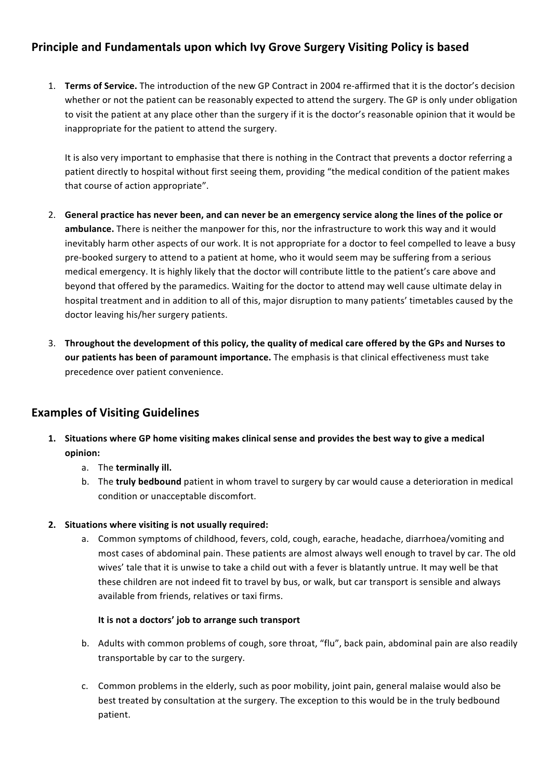## **Principle and Fundamentals upon which Ivy Grove Surgery Visiting Policy is based**

1. **Terms of Service.** The introduction of the new GP Contract in 2004 re-affirmed that it is the doctor's decision whether or not the patient can be reasonably expected to attend the surgery. The GP is only under obligation to visit the patient at any place other than the surgery if it is the doctor's reasonable opinion that it would be inappropriate for the patient to attend the surgery.

It is also very important to emphasise that there is nothing in the Contract that prevents a doctor referring a patient directly to hospital without first seeing them, providing "the medical condition of the patient makes that course of action appropriate".

- 2. General practice has never been, and can never be an emergency service along the lines of the police or ambulance. There is neither the manpower for this, nor the infrastructure to work this way and it would inevitably harm other aspects of our work. It is not appropriate for a doctor to feel compelled to leave a busy pre-booked surgery to attend to a patient at home, who it would seem may be suffering from a serious medical emergency. It is highly likely that the doctor will contribute little to the patient's care above and beyond that offered by the paramedics. Waiting for the doctor to attend may well cause ultimate delay in hospital treatment and in addition to all of this, major disruption to many patients' timetables caused by the doctor leaving his/her surgery patients.
- 3. Throughout the development of this policy, the quality of medical care offered by the GPs and Nurses to **our patients has been of paramount importance.** The emphasis is that clinical effectiveness must take precedence over patient convenience.

## **Examples of Visiting Guidelines**

- **1.** Situations where GP home visiting makes clinical sense and provides the best way to give a medical **opinion:**
	- a. The **terminally ill.**
	- b. The **truly bedbound** patient in whom travel to surgery by car would cause a deterioration in medical condition or unacceptable discomfort.

#### **2.** Situations where visiting is not usually required:

a. Common symptoms of childhood, fevers, cold, cough, earache, headache, diarrhoea/vomiting and most cases of abdominal pain. These patients are almost always well enough to travel by car. The old wives' tale that it is unwise to take a child out with a fever is blatantly untrue. It may well be that these children are not indeed fit to travel by bus, or walk, but car transport is sensible and always available from friends, relatives or taxi firms.

#### It is not a doctors' job to arrange such transport

- b. Adults with common problems of cough, sore throat, "flu", back pain, abdominal pain are also readily transportable by car to the surgery.
- c. Common problems in the elderly, such as poor mobility, joint pain, general malaise would also be best treated by consultation at the surgery. The exception to this would be in the truly bedbound patient.